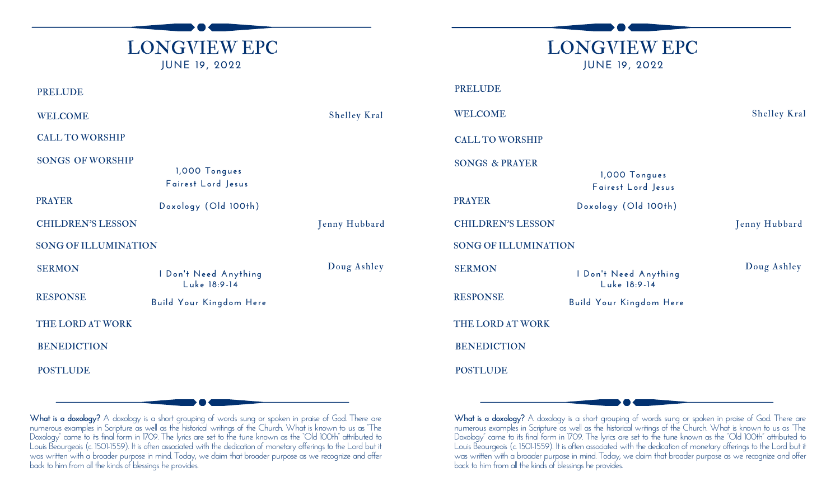| <b>LONGVIEW EPC</b><br><b>JUNE 19, 2022</b>                    |                     |                             |                                             |
|----------------------------------------------------------------|---------------------|-----------------------------|---------------------------------------------|
|                                                                |                     |                             | <b>LONGVIEW EPC</b><br><b>JUNE 19, 2022</b> |
| <b>PRELUDE</b>                                                 |                     | <b>PRELUDE</b>              |                                             |
| <b>WELCOME</b>                                                 | <b>Shelley Kral</b> | <b>WELCOME</b>              |                                             |
| <b>CALL TO WORSHIP</b>                                         |                     | <b>CALL TO WORSHIP</b>      |                                             |
| <b>SONGS OF WORSHIP</b><br>1,000 Tongues<br>Fairest Lord Jesus |                     | <b>SONGS &amp; PRAYER</b>   | 1,000 Tongues<br>Fairest Lord Jesus         |
| <b>PRAYER</b><br>Doxology (Old 100th)                          |                     | <b>PRAYER</b>               | Doxology (Old 100th)                        |
| <b>CHILDREN'S LESSON</b>                                       | Jenny Hubbard       | <b>CHILDREN'S LESSON</b>    |                                             |
| <b>SONG OF ILLUMINATION</b>                                    |                     | <b>SONG OF ILLUMINATION</b> |                                             |
| <b>SERMON</b><br>I Don't Need Anything<br>Luke 18:9-14         | Doug Ashley         | <b>SERMON</b>               | I Don't Need Anything<br>Luke 18:9-14       |
| <b>RESPONSE</b><br>Build Your Kingdom Here                     |                     | <b>RESPONSE</b>             | Build Your Kingdom Here                     |
| THE LORD AT WORK                                               |                     | THE LORD AT WORK            |                                             |
| <b>BENEDICTION</b>                                             |                     | <b>BENEDICTION</b>          |                                             |
| <b>POSTLUDE</b>                                                |                     | <b>POSTLUDE</b>             |                                             |

What is a **doxology?** A doxology is a short grouping of words sung or spoken in praise of God. There are numerous examples in Scripture as well as the historical writings of the Church. What is known to us as "The Doxology" came to its final form in 1709. The lyrics are set to the tune known as the "Old 100th" attributed to Louis Beourgeois (c. 1501-1559). It is often associated with the dedication of monetary offerings to the Lord but it was written with a broader purpose in mind. Today, we claim that broader purpose as we recognize and offer back to him from all the kinds of blessings he provides.

**What is a doxology?** A doxology is a short grouping of words sung or spoken in praise of God. There are numerous examples in Scripture as well as the historical writings of the Church. What is known to us as "The Doxology" came to its final form in 1709. The lyrics are set to the tune known as the "Old 100th" attributed to Louis Beourgeois (c. 1501-1559). It is often associated with the dedication of monetary offerings to the Lord but it was written with a broader purpose in mind. Today, we claim that broader purpose as we recognize and offer back to him from all the kinds of blessings he provides.

**Shelley Kral** 

Doug Ashley

Jenny Hubbard